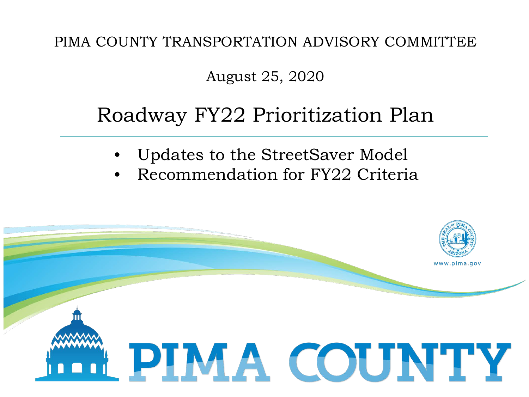PIMA COUNTY TRANSPORTATION ADVISORY COMMITTEE

#### August 25, 2020

### Roadway FY22 Prioritization Plan

- Updates to the StreetSaver Model
- Recommendation for FY22 Criteria

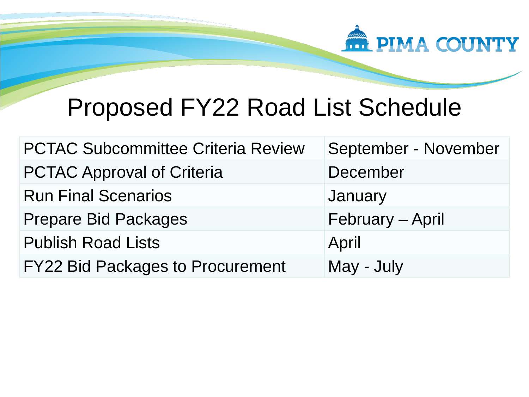

## Proposed FY22 Road List Schedule

| <b>PCTAC Subcommittee Criteria Review</b> | September - November |
|-------------------------------------------|----------------------|
| <b>PCTAC Approval of Criteria</b>         | December             |
| <b>Run Final Scenarios</b>                | January              |
| <b>Prepare Bid Packages</b>               | February - April     |
| <b>Publish Road Lists</b>                 | April                |
| <b>FY22 Bid Packages to Procurement</b>   | May - July           |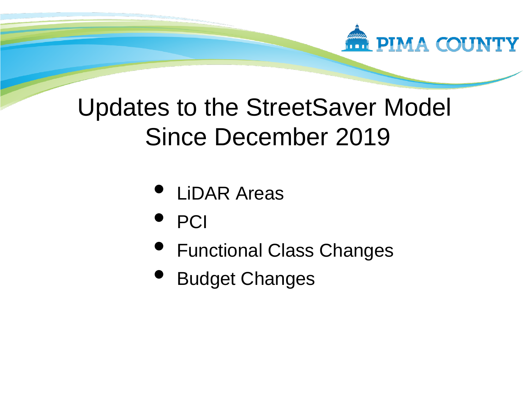

# Updates to the StreetSaver Model Since December 2019

- LiDAR Areas
- PCI
- Functional Class Changes
- Budget Changes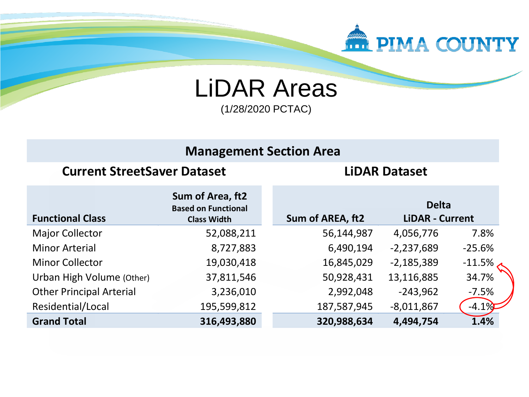

LiDAR Areas (1/28/2020 PCTAC)

#### **Management Section Area**

#### **Current StreetSaver Dataset LiDAR Dataset**

| <b>Functional Class</b>         | Sum of Area, ft2<br><b>Based on Functional</b><br><b>Class Width</b> | Sum of AREA, ft2 | <b>Delta</b><br><b>LiDAR - Current</b> |           |
|---------------------------------|----------------------------------------------------------------------|------------------|----------------------------------------|-----------|
| <b>Major Collector</b>          | 52,088,211                                                           | 56,144,987       | 4,056,776                              | 7.8%      |
| <b>Minor Arterial</b>           | 8,727,883                                                            | 6,490,194        | $-2,237,689$                           | $-25.6%$  |
| <b>Minor Collector</b>          | 19,030,418                                                           | 16,845,029       | $-2,185,389$                           | $-11.5\%$ |
| Urban High Volume (Other)       | 37,811,546                                                           | 50,928,431       | 13,116,885                             | 34.7%     |
| <b>Other Principal Arterial</b> | 3,236,010                                                            | 2,992,048        | $-243,962$                             | $-7.5%$   |
| Residential/Local               | 195,599,812                                                          | 187,587,945      | $-8,011,867$                           | $-4.1\%$  |
| <b>Grand Total</b>              | 316,493,880                                                          | 320,988,634      | 4,494,754                              | 1.4%      |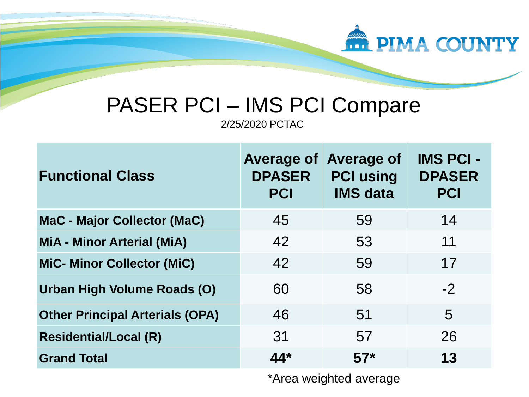

## PASER PCI – IMS PCI Compare

2/25/2020 PCTAC

| <b>Functional Class</b>                | <b>Average of</b><br><b>DPASER</b><br><b>PCI</b> | <b>Average of</b><br><b>PCI using</b><br><b>IMS data</b> | <b>IMS PCI -</b><br><b>DPASER</b><br><b>PCI</b> |
|----------------------------------------|--------------------------------------------------|----------------------------------------------------------|-------------------------------------------------|
| <b>MaC - Major Collector (MaC)</b>     | 45                                               | 59                                                       | 14                                              |
| <b>MiA - Minor Arterial (MiA)</b>      | 42                                               | 53                                                       | 11                                              |
| <b>MiC- Minor Collector (MiC)</b>      | 42                                               | 59                                                       | 17                                              |
| Urban High Volume Roads (O)            | 60                                               | 58                                                       | $-2$                                            |
| <b>Other Principal Arterials (OPA)</b> | 46                                               | 51                                                       | 5                                               |
| <b>Residential/Local (R)</b>           | 31                                               | 57                                                       | 26                                              |
| <b>Grand Total</b>                     | $44*$                                            | $57*$                                                    | 13                                              |

\*Area weighted average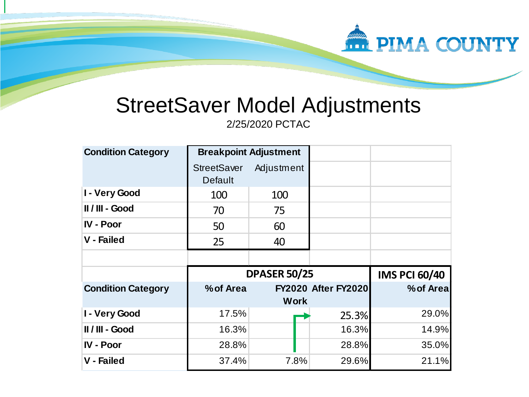

## StreetSaver Model Adjustments

2/25/2020 PCTAC

| <b>Condition Category</b> | <b>Breakpoint Adjustment</b>         |                     |                            |                      |
|---------------------------|--------------------------------------|---------------------|----------------------------|----------------------|
|                           | <b>StreetSaver</b><br><b>Default</b> | Adjustment          |                            |                      |
| I - Very Good             | 100                                  | 100                 |                            |                      |
| II / III - Good           | 70                                   | 75                  |                            |                      |
| <b>IV - Poor</b>          | 50                                   | 60                  |                            |                      |
| <b>V</b> - Failed         | 25                                   | 40                  |                            |                      |
|                           |                                      |                     |                            |                      |
|                           |                                      |                     |                            |                      |
|                           |                                      | <b>DPASER 50/25</b> |                            | <b>IMS PCI 60/40</b> |
| <b>Condition Category</b> | % of Area                            |                     | <b>FY2020 After FY2020</b> | % of Areal           |
|                           |                                      | <b>Work</b>         |                            |                      |
| I - Very Good             | 17.5%                                |                     | 25.3%                      | 29.0%                |
| II / III - Good           | 16.3%                                |                     | 16.3%                      | 14.9%                |
| <b>IV - Poor</b>          | 28.8%                                |                     | 28.8%                      | 35.0%                |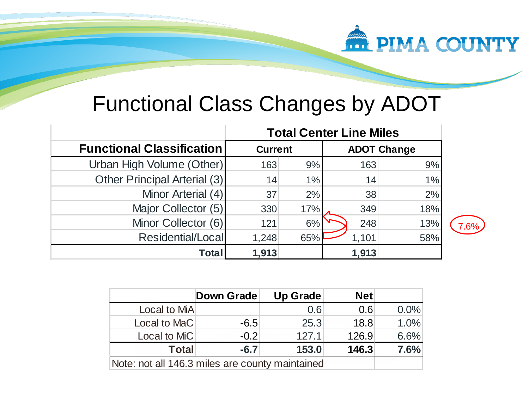

## Functional Class Changes by ADOT

|                                  | <b>Total Center Line Miles</b> |     |                    |     |
|----------------------------------|--------------------------------|-----|--------------------|-----|
| <b>Functional Classification</b> | <b>Current</b>                 |     | <b>ADOT Change</b> |     |
| Urban High Volume (Other)        | 163                            | 9%  | 163                | 9%  |
| Other Principal Arterial (3)     | 14                             | 1%  | 14                 | 1%  |
| Minor Arterial (4)               | 37                             | 2%  | 38                 | 2%  |
| Major Collector (5)              | 330                            | 17% | 349                | 18% |
| Minor Collector (6)              | 121                            | 6%  | 248                | 13% |
| Residential/Local                | 1,248                          | 65% | 1,101              | 58% |
| Total                            | 1,913                          |     | 1,913              |     |

| 9/6 |
|-----|
|     |

|                                                 | <b>Down Grade</b> | <b>Up Grade</b> | <b>Net</b> |         |
|-------------------------------------------------|-------------------|-----------------|------------|---------|
| Local to MiA                                    |                   | 0.6             | 0.6        | $0.0\%$ |
| Local to MaC                                    | $-6.5$            | 25.3            | 18.8       | 1.0%    |
| Local to MiC                                    | $-0.2$            | 127.1           | 126.9      | 6.6%    |
| <b>Total</b>                                    | $-6.7$            | 153.0           | 146.3      | 7.6%    |
| Note: not all 146.3 miles are county maintained |                   |                 |            |         |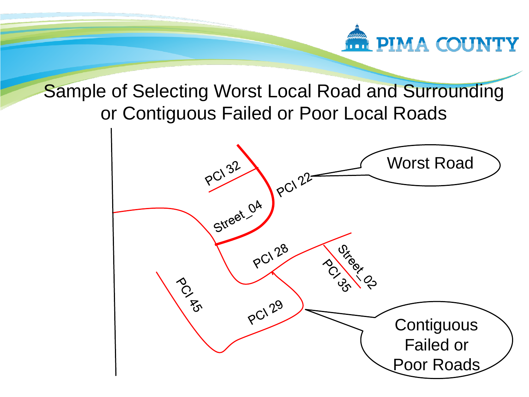

#### Sample of Selecting Worst Local Road and Surrounding or Contiguous Failed or Poor Local Roads

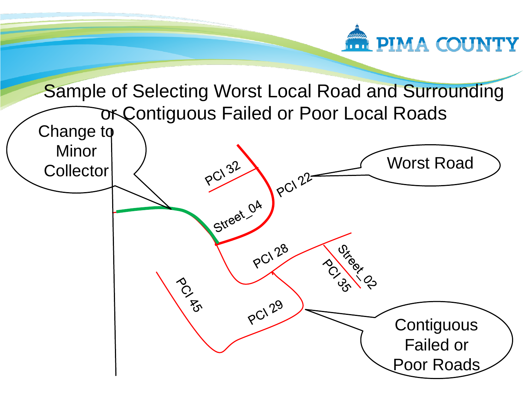

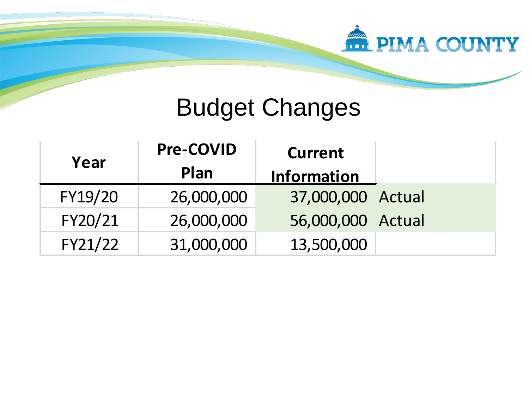

## Budget Changes

| Year    | <b>Pre-COVID</b> | <b>Current</b>     |  |
|---------|------------------|--------------------|--|
|         | Plan             | <b>Information</b> |  |
| FY19/20 | 26,000,000       | 37,000,000 Actual  |  |
| FY20/21 | 26,000,000       | 56,000,000 Actual  |  |
| FY21/22 | 31,000,000       | 13,500,000         |  |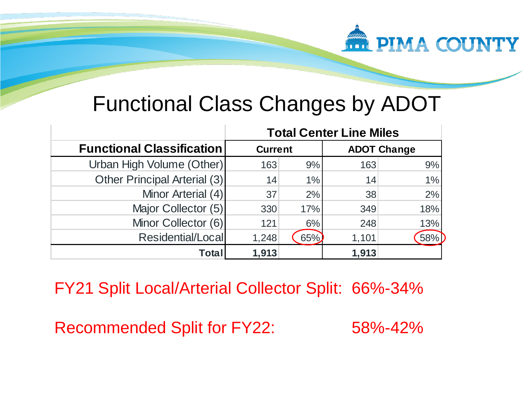

## Functional Class Changes by ADOT

|                                  | <b>Total Center Line Miles</b> |       |       |                    |
|----------------------------------|--------------------------------|-------|-------|--------------------|
| <b>Functional Classification</b> | <b>Current</b>                 |       |       | <b>ADOT Change</b> |
| Urban High Volume (Other)        | 163                            | 9%    | 163   | 9%                 |
| Other Principal Arterial (3)     | 14                             | $1\%$ | 14    | $1\%$              |
| Minor Arterial (4)               | 37                             | 2%    | 38    | 2%                 |
| Major Collector (5)              | 330                            | 17%   | 349   | 18%                |
| Minor Collector (6)              | 121                            | 6%    | 248   | 13%                |
| Residential/Local                | 1,248                          | 65%   | 1,101 | 58%                |
| Total                            | 1,913                          |       | 1,913 |                    |

FY21 Split Local/Arterial Collector Split: 66%-34%

Recommended Split for FY22: 58%-42%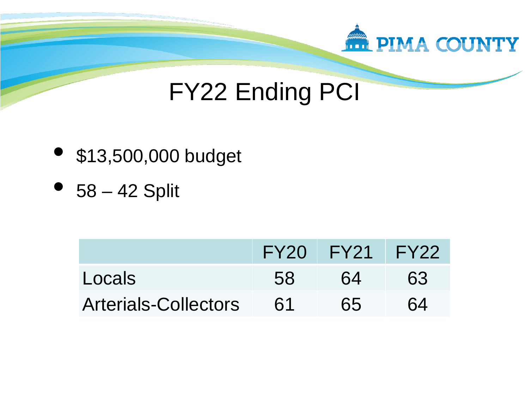

## FY22 Ending PCI

- \$13,500,000 budget
- $58 42$  Split

|                             |    | FY20 FY21 FY22 |    |
|-----------------------------|----|----------------|----|
| Locals                      | 58 | 64             | 63 |
| <b>Arterials-Collectors</b> | 61 | 65             | 64 |